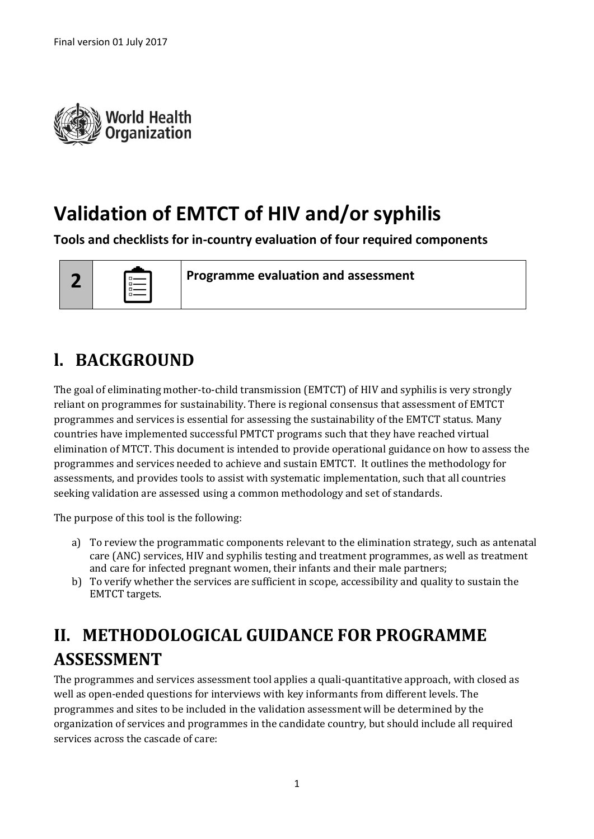

# **Validation of EMTCT of HIV and/or syphilis**

**Tools and checklists for in-country evaluation of four required components**



**Programme evaluation and assessment**

## **l. BACKGROUND**

The goal of eliminating mother-to-child transmission (EMTCT) of HIV and syphilis is very strongly reliant on programmes for sustainability. There is regional consensus that assessment of EMTCT programmes and services is essential for assessing the sustainability of the EMTCT status. Many countries have implemented successful PMTCT programs such that they have reached virtual elimination of MTCT. This document is intended to provide operational guidance on how to assess the programmes and services needed to achieve and sustain EMTCT. It outlines the methodology for assessments, and provides tools to assist with systematic implementation, such that all countries seeking validation are assessed using a common methodology and set of standards.

The purpose of this tool is the following:

- a) To review the programmatic components relevant to the elimination strategy, such as antenatal care (ANC) services, HIV and syphilis testing and treatment programmes, as well as treatment and care for infected pregnant women, their infants and their male partners;
- b) To verify whether the services are sufficient in scope, accessibility and quality to sustain the EMTCT targets.

## **II. METHODOLOGICAL GUIDANCE FOR PROGRAMME ASSESSMENT**

The programmes and services assessment tool applies a quali-quantitative approach, with closed as well as open-ended questions for interviews with key informants from different levels. The programmes and sites to be included in the validation assessment will be determined by the organization of services and programmes in the candidate country, but should include all required services across the cascade of care: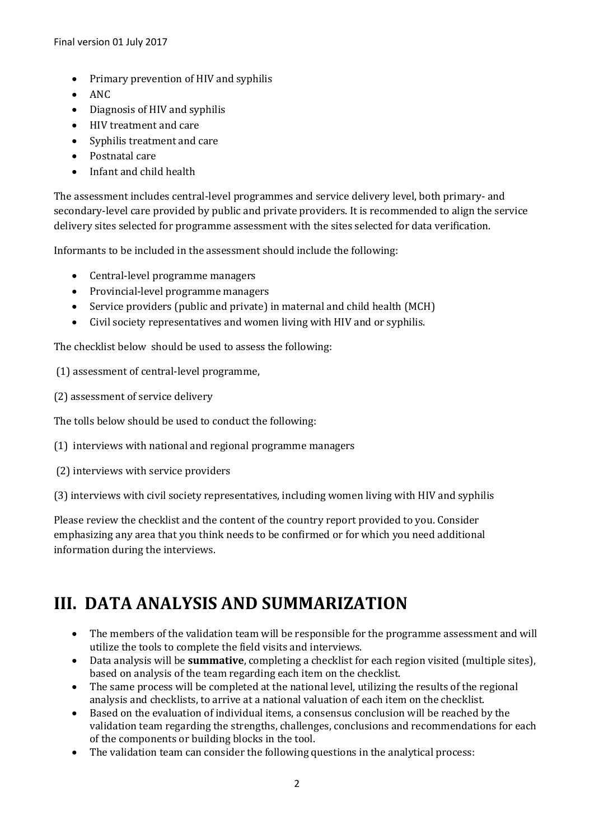- Primary prevention of HIV and syphilis
- $\bullet$  ANC
- Diagnosis of HIV and syphilis
- HIV treatment and care
- Syphilis treatment and care
- Postnatal care
- Infant and child health

The assessment includes central-level programmes and service delivery level, both primary- and secondary-level care provided by public and private providers. It is recommended to align the service delivery sites selected for programme assessment with the sites selected for data verification.

Informants to be included in the assessment should include the following:

- Central-level programme managers
- Provincial-level programme managers
- Service providers (public and private) in maternal and child health (MCH)
- Civil society representatives and women living with HIV and or syphilis.

The checklist below should be used to assess the following:

(1) assessment of central-level programme,

(2) assessment of service delivery

The tolls below should be used to conduct the following:

- (1) interviews with national and regional programme managers
- (2) interviews with service providers

(3) interviews with civil society representatives, including women living with HIV and syphilis

Please review the checklist and the content of the country report provided to you. Consider emphasizing any area that you think needs to be confirmed or for which you need additional information during the interviews.

### **III. DATA ANALYSIS AND SUMMARIZATION**

- The members of the validation team will be responsible for the programme assessment and will utilize the tools to complete the field visits and interviews.
- Data analysis will be **summative**, completing a checklist for each region visited (multiple sites), based on analysis of the team regarding each item on the checklist.
- The same process will be completed at the national level, utilizing the results of the regional analysis and checklists, to arrive at a national valuation of each item on the checklist.
- Based on the evaluation of individual items, a consensus conclusion will be reached by the validation team regarding the strengths, challenges, conclusions and recommendations for each of the components or building blocks in the tool.
- The validation team can consider the following questions in the analytical process: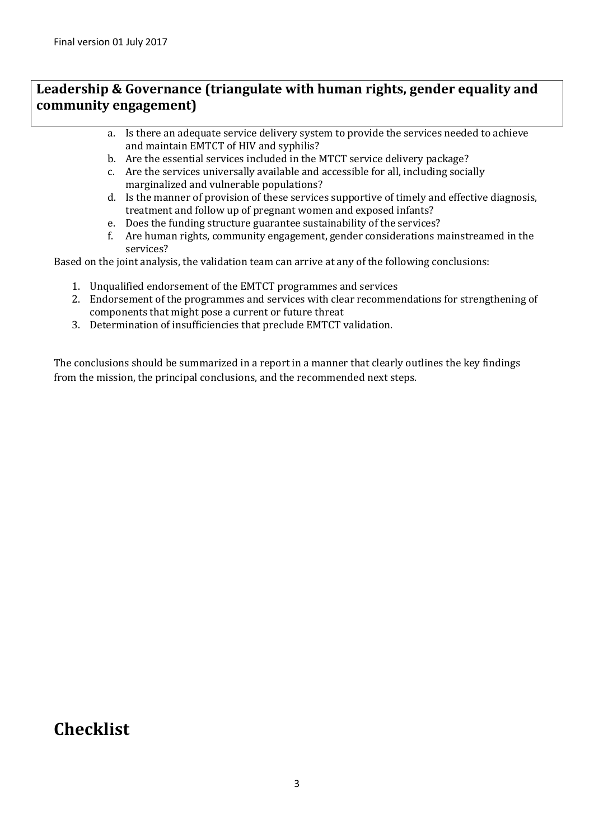#### **Leadership & Governance (triangulate with human rights, gender equality and community engagement)**

- a. Is there an adequate service delivery system to provide the services needed to achieve and maintain EMTCT of HIV and syphilis?
- b. Are the essential services included in the MTCT service delivery package?
- c. Are the services universally available and accessible for all, including socially marginalized and vulnerable populations?
- d. Is the manner of provision of these services supportive of timely and effective diagnosis, treatment and follow up of pregnant women and exposed infants?
- e. Does the funding structure guarantee sustainability of the services?
- f. Are human rights, community engagement, gender considerations mainstreamed in the services?

Based on the joint analysis, the validation team can arrive at any of the following conclusions:

- 1. Unqualified endorsement of the EMTCT programmes and services
- 2. Endorsement of the programmes and services with clear recommendations for strengthening of components that might pose a current or future threat
- 3. Determination of insufficiencies that preclude EMTCT validation.

The conclusions should be summarized in a report in a manner that clearly outlines the key findings from the mission, the principal conclusions, and the recommended next steps.

#### **Checklist**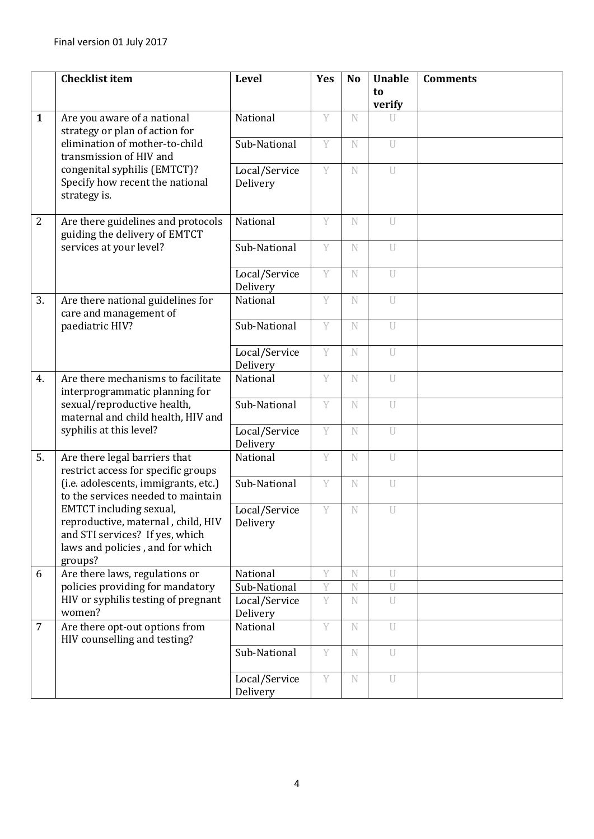|                | <b>Checklist item</b>                                                                                                                           | <b>Level</b>              | Yes | <b>No</b> | <b>Unable</b>  | <b>Comments</b> |
|----------------|-------------------------------------------------------------------------------------------------------------------------------------------------|---------------------------|-----|-----------|----------------|-----------------|
|                |                                                                                                                                                 |                           |     |           | to<br>verify   |                 |
| $\mathbf{1}$   | Are you aware of a national<br>strategy or plan of action for                                                                                   | National                  | Y   | N         | U              |                 |
|                | elimination of mother-to-child<br>transmission of HIV and                                                                                       | Sub-National              | Y   | N         | $\overline{U}$ |                 |
|                | congenital syphilis (EMTCT)?<br>Specify how recent the national<br>strategy is.                                                                 | Local/Service<br>Delivery | Y   | N         | $\overline{U}$ |                 |
| $\overline{2}$ | Are there guidelines and protocols<br>guiding the delivery of EMTCT                                                                             | National                  | Y   | N         | U              |                 |
|                | services at your level?                                                                                                                         | Sub-National              | Y   | N         | U              |                 |
|                |                                                                                                                                                 | Local/Service<br>Delivery | Y   | N         | U              |                 |
| 3.             | Are there national guidelines for<br>care and management of                                                                                     | National                  | Y   | N         | U              |                 |
|                | paediatric HIV?                                                                                                                                 | Sub-National              | Y   | N         | U              |                 |
|                |                                                                                                                                                 | Local/Service<br>Delivery | Y   | N         | U              |                 |
| 4.             | Are there mechanisms to facilitate<br>interprogrammatic planning for                                                                            | National                  | Y   | N         | U              |                 |
|                | sexual/reproductive health,<br>maternal and child health, HIV and                                                                               | Sub-National              | Y   | N         | U              |                 |
|                | syphilis at this level?                                                                                                                         | Local/Service<br>Delivery | Y   | N         | $\overline{U}$ |                 |
| 5.             | Are there legal barriers that<br>restrict access for specific groups                                                                            | National                  | Y   | N         | $\overline{U}$ |                 |
|                | (i.e. adolescents, immigrants, etc.)<br>to the services needed to maintain                                                                      | Sub-National              | Y   | N         | U              |                 |
|                | EMTCT including sexual,<br>reproductive, maternal, child, HIV<br>and STI services? If yes, which<br>laws and policies, and for which<br>groups? | Local/Service<br>Delivery | Y   | N         | U              |                 |
| 6              | Are there laws, regulations or                                                                                                                  | National                  | Y   | N         | U              |                 |
|                | policies providing for mandatory                                                                                                                | Sub-National              | Y   | N         | $\overline{U}$ |                 |
|                | HIV or syphilis testing of pregnant<br>women?                                                                                                   | Local/Service<br>Delivery | Y   | N         | U              |                 |
| 7              | Are there opt-out options from<br>HIV counselling and testing?                                                                                  | National                  | Y   | N         | U              |                 |
|                |                                                                                                                                                 | Sub-National              | Y   | N         | U              |                 |
|                |                                                                                                                                                 | Local/Service<br>Delivery | Y   | N         | $\overline{U}$ |                 |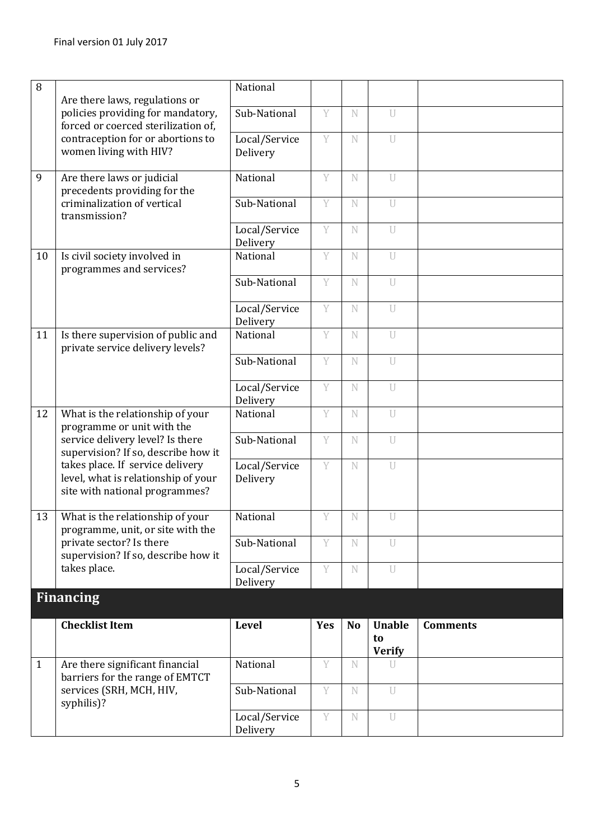| 8            |                                                                                                           | National                  |            |           |                                      |                 |
|--------------|-----------------------------------------------------------------------------------------------------------|---------------------------|------------|-----------|--------------------------------------|-----------------|
|              | Are there laws, regulations or                                                                            |                           |            |           |                                      |                 |
|              | policies providing for mandatory,<br>forced or coerced sterilization of,                                  | Sub-National              | Y          | N         | U                                    |                 |
|              | contraception for or abortions to<br>women living with HIV?                                               | Local/Service<br>Delivery | Y          | N         | $\overline{U}$                       |                 |
| 9            | Are there laws or judicial<br>precedents providing for the                                                | National                  | Y          | N         | $\overline{U}$                       |                 |
|              | criminalization of vertical<br>transmission?                                                              | Sub-National              | Y          | N         | U                                    |                 |
|              |                                                                                                           | Local/Service<br>Delivery | Y          | N         | $\bigcup$                            |                 |
| 10           | Is civil society involved in<br>programmes and services?                                                  | National                  | Y          | N         | U                                    |                 |
|              |                                                                                                           | Sub-National              | Y          | N         | U                                    |                 |
|              |                                                                                                           | Local/Service<br>Delivery | Y          | N         | U                                    |                 |
| 11           | Is there supervision of public and<br>private service delivery levels?                                    | National                  | Y          | N         | U                                    |                 |
|              |                                                                                                           | Sub-National              | Y          | N         | $\cup$                               |                 |
|              |                                                                                                           | Local/Service<br>Delivery | Y          | N         | U                                    |                 |
| 12           | What is the relationship of your<br>programme or unit with the                                            | National                  | Y          | N         | U                                    |                 |
|              | service delivery level? Is there<br>supervision? If so, describe how it                                   | Sub-National              | Y          | N         | $\overline{U}$                       |                 |
|              | takes place. If service delivery<br>level, what is relationship of your<br>site with national programmes? | Local/Service<br>Delivery | Y          | N         | $\overline{U}$                       |                 |
| 13           | What is the relationship of your<br>programme, unit, or site with the                                     | National                  | Y          | N         | U                                    |                 |
|              | private sector? Is there<br>supervision? If so, describe how it                                           | Sub-National              | Y          | N         | U                                    |                 |
|              | takes place.                                                                                              | Local/Service<br>Delivery | Y          | N         | U                                    |                 |
|              | <b>Financing</b>                                                                                          |                           |            |           |                                      |                 |
|              | <b>Checklist Item</b>                                                                                     | <b>Level</b>              | <b>Yes</b> | <b>No</b> | <b>Unable</b><br>to<br><b>Verify</b> | <b>Comments</b> |
| $\mathbf{1}$ | Are there significant financial<br>barriers for the range of EMTCT                                        | National                  | Y          | N         | U                                    |                 |
|              | services (SRH, MCH, HIV,<br>syphilis)?                                                                    | Sub-National              | Y          | N         | U                                    |                 |
|              |                                                                                                           | Local/Service<br>Delivery | Y          | N         | U                                    |                 |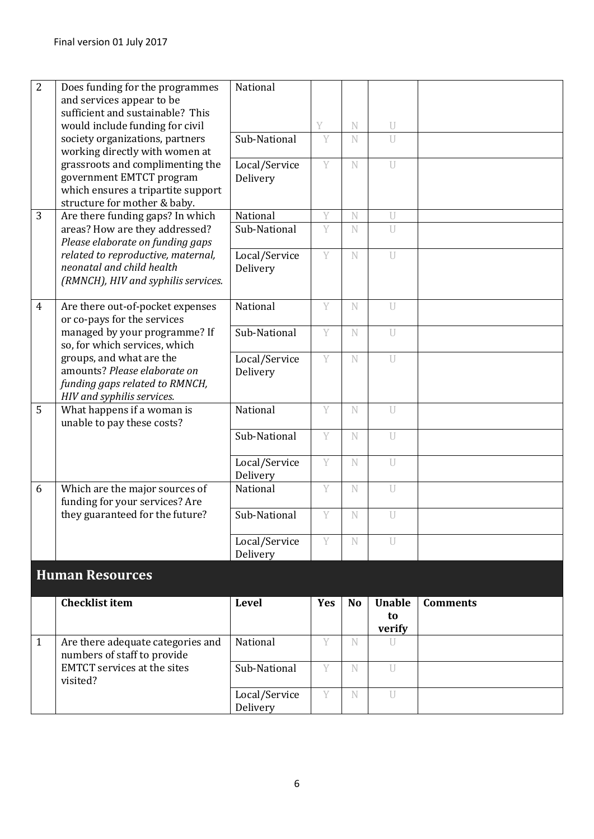| $\overline{2}$ | Does funding for the programmes                                  | National                  |     |           |                |                 |
|----------------|------------------------------------------------------------------|---------------------------|-----|-----------|----------------|-----------------|
|                | and services appear to be                                        |                           |     |           |                |                 |
|                | sufficient and sustainable? This                                 |                           |     |           |                |                 |
|                | would include funding for civil                                  |                           | V   | N         | U              |                 |
|                | society organizations, partners                                  | Sub-National              | Y   | N         | U              |                 |
|                | working directly with women at                                   |                           |     |           |                |                 |
|                | grassroots and complimenting the                                 | Local/Service             | Y   | N         | $\overline{U}$ |                 |
|                | government EMTCT program<br>which ensures a tripartite support   | Delivery                  |     |           |                |                 |
|                |                                                                  |                           |     |           |                |                 |
| 3              | structure for mother & baby.<br>Are there funding gaps? In which | National                  | Y   | N         | U              |                 |
|                | areas? How are they addressed?                                   | Sub-National              | Y   | N         | U              |                 |
|                | Please elaborate on funding gaps                                 |                           |     |           |                |                 |
|                | related to reproductive, maternal,                               | Local/Service             | Y   | N         | U              |                 |
|                | neonatal and child health                                        | Delivery                  |     |           |                |                 |
|                | (RMNCH), HIV and syphilis services.                              |                           |     |           |                |                 |
|                |                                                                  |                           |     |           |                |                 |
| $\overline{4}$ | Are there out-of-pocket expenses                                 | National                  | Y   | N         | U              |                 |
|                | or co-pays for the services                                      |                           |     |           |                |                 |
|                | managed by your programme? If                                    | Sub-National              | Y   | N         | U              |                 |
|                | so, for which services, which                                    |                           |     |           |                |                 |
|                | groups, and what are the                                         | Local/Service             | Y   | N         | U              |                 |
|                | amounts? Please elaborate on                                     | Delivery                  |     |           |                |                 |
|                | funding gaps related to RMNCH,                                   |                           |     |           |                |                 |
|                | HIV and syphilis services.                                       |                           |     |           |                |                 |
| 5              | What happens if a woman is                                       | National                  | Y   | N         | U              |                 |
|                | unable to pay these costs?                                       |                           |     |           |                |                 |
|                |                                                                  | Sub-National              | Y   | N         | U              |                 |
|                |                                                                  |                           |     |           |                |                 |
|                |                                                                  | Local/Service             | Y   | N         | $\overline{U}$ |                 |
|                |                                                                  | Delivery                  |     |           |                |                 |
| 6              | Which are the major sources of                                   | National                  | Y   | N         | U              |                 |
|                | funding for your services? Are                                   |                           |     |           |                |                 |
|                | they guaranteed for the future?                                  | Sub-National              | Y   | N         | U              |                 |
|                |                                                                  |                           | Y   | N         | $\overline{U}$ |                 |
|                |                                                                  | Local/Service<br>Delivery |     |           |                |                 |
|                |                                                                  |                           |     |           |                |                 |
|                | <b>Human Resources</b>                                           |                           |     |           |                |                 |
|                | <b>Checklist item</b>                                            | <b>Level</b>              | Yes | <b>No</b> | <b>Unable</b>  | <b>Comments</b> |
|                |                                                                  |                           |     |           | to             |                 |
|                |                                                                  |                           |     |           | verify         |                 |
| $\mathbf{1}$   | Are there adequate categories and                                | National                  | Y   | N         | U              |                 |
|                | numbers of staff to provide                                      |                           |     |           |                |                 |
|                | <b>EMTCT</b> services at the sites                               | Sub-National              | Y   | N         | U              |                 |
|                | visited?                                                         |                           |     |           |                |                 |
|                |                                                                  | Local/Service             | Y   | N         | U              |                 |
|                |                                                                  | Delivery                  |     |           |                |                 |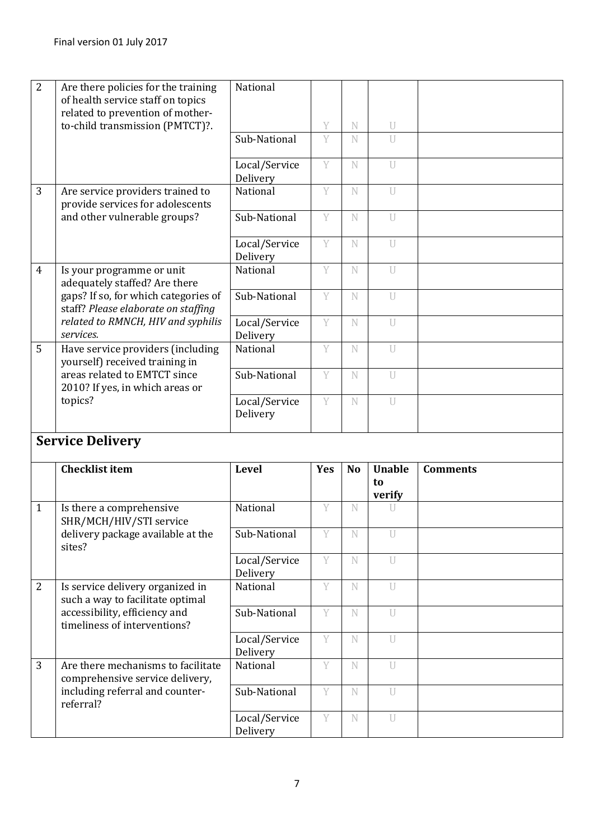| $\overline{2}$ | Are there policies for the training  | National                  |           |                |                |                 |
|----------------|--------------------------------------|---------------------------|-----------|----------------|----------------|-----------------|
|                | of health service staff on topics    |                           |           |                |                |                 |
|                | related to prevention of mother-     |                           |           |                |                |                 |
|                | to-child transmission (PMTCT)?.      |                           | Y         | N              | U              |                 |
|                |                                      | Sub-National              | Y         | N              | $\mathbf{U}$   |                 |
|                |                                      |                           |           |                |                |                 |
|                |                                      | Local/Service             | Y         | N              | U              |                 |
|                |                                      | Delivery                  |           |                |                |                 |
| 3              | Are service providers trained to     | National                  | Y         | N              | $\overline{U}$ |                 |
|                | provide services for adolescents     |                           |           |                |                |                 |
|                | and other vulnerable groups?         | Sub-National              | Y         | N              | $\mathbf{U}$   |                 |
|                |                                      |                           |           |                |                |                 |
|                |                                      |                           | Y         |                |                |                 |
|                |                                      | Local/Service             |           | N              | $\overline{U}$ |                 |
|                |                                      | Delivery                  |           |                |                |                 |
| 4              | Is your programme or unit            | National                  | Y         | N              | $\overline{U}$ |                 |
|                | adequately staffed? Are there        |                           |           |                |                |                 |
|                | gaps? If so, for which categories of | Sub-National              | Y         | N              | $\overline{U}$ |                 |
|                | staff? Please elaborate on staffing  |                           |           |                |                |                 |
|                | related to RMNCH, HIV and syphilis   | Local/Service             | Y         | N              | U              |                 |
|                | services.                            | Delivery                  |           |                |                |                 |
| 5              | Have service providers (including    | National                  | Y         | N              | $\overline{U}$ |                 |
|                | yourself) received training in       |                           |           |                |                |                 |
|                | areas related to EMTCT since         | Sub-National              | Y         | N              | $\overline{U}$ |                 |
|                | 2010? If yes, in which areas or      |                           |           |                |                |                 |
|                | topics?                              | Local/Service             | Y         | N              | $\overline{U}$ |                 |
|                |                                      |                           |           |                |                |                 |
|                |                                      | Delivery                  |           |                |                |                 |
|                |                                      |                           |           |                |                |                 |
|                |                                      |                           |           |                |                |                 |
|                | <b>Service Delivery</b>              |                           |           |                |                |                 |
|                |                                      |                           |           |                |                |                 |
|                | <b>Checklist item</b>                | <b>Level</b>              | Yes       | N <sub>o</sub> | <b>Unable</b>  | <b>Comments</b> |
|                |                                      |                           |           |                | to             |                 |
|                |                                      |                           |           |                | verify         |                 |
| 1              | Is there a comprehensive             | National                  | Y         | N              |                |                 |
|                | SHR/MCH/HIV/STI service              |                           |           |                |                |                 |
|                | delivery package available at the    | Sub-National              | Y         | N              | U              |                 |
|                | sites?                               |                           |           |                |                |                 |
|                |                                      | Local/Service             | Y         | N              | $\cup$         |                 |
|                |                                      | Delivery                  |           |                |                |                 |
| $\overline{2}$ | Is service delivery organized in     | National                  | Y         | N              | U              |                 |
|                | such a way to facilitate optimal     |                           |           |                |                |                 |
|                | accessibility, efficiency and        | Sub-National              | Y         | N              | $\overline{U}$ |                 |
|                | timeliness of interventions?         |                           |           |                |                |                 |
|                |                                      | Local/Service             | Y         | N              | U              |                 |
|                |                                      | Delivery                  |           |                |                |                 |
| 3              | Are there mechanisms to facilitate   | National                  | $\bar{Y}$ | N              | $\overline{U}$ |                 |
|                | comprehensive service delivery,      |                           |           |                |                |                 |
|                | including referral and counter-      | Sub-National              | Y         | N              | U              |                 |
|                | referral?                            |                           |           |                |                |                 |
|                |                                      | Local/Service<br>Delivery | Y         | N              | $\overline{U}$ |                 |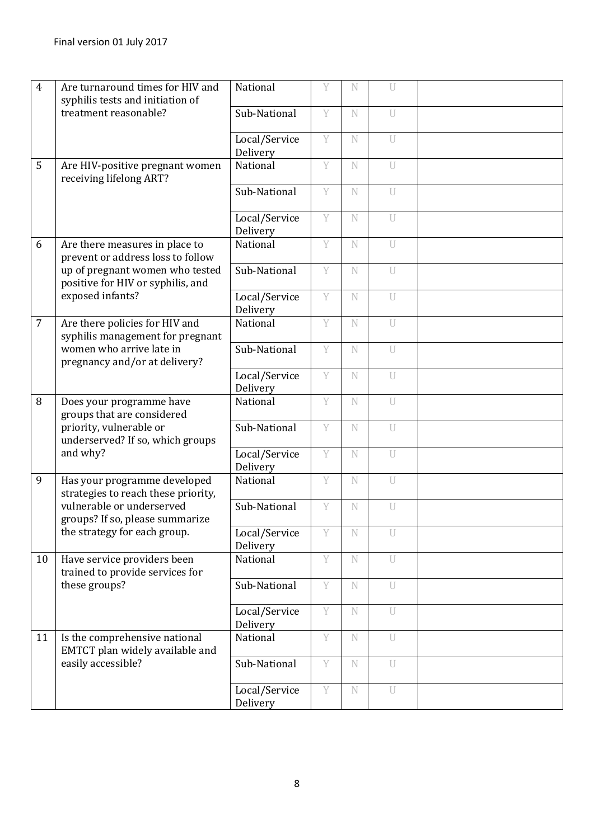| $\overline{4}$ | Are turnaround times for HIV and<br>syphilis tests and initiation of | National                  | Y | N           | U              |  |
|----------------|----------------------------------------------------------------------|---------------------------|---|-------------|----------------|--|
|                | treatment reasonable?                                                | Sub-National              | Y | N           | U              |  |
|                |                                                                      | Local/Service<br>Delivery | Y | N           | U              |  |
| 5              | Are HIV-positive pregnant women<br>receiving lifelong ART?           | National                  | Y | N           | U              |  |
|                |                                                                      | Sub-National              | Y | N           | U              |  |
|                |                                                                      | Local/Service<br>Delivery | Y | N           | U              |  |
| 6              | Are there measures in place to<br>prevent or address loss to follow  | National                  | Y | N           | U              |  |
|                | up of pregnant women who tested<br>positive for HIV or syphilis, and | Sub-National              | Y | N           | U              |  |
|                | exposed infants?                                                     | Local/Service<br>Delivery | Y | N           | $\overline{U}$ |  |
| $\overline{7}$ | Are there policies for HIV and<br>syphilis management for pregnant   | National                  | Y | N           | U              |  |
|                | women who arrive late in<br>pregnancy and/or at delivery?            | Sub-National              | Y | N           | U              |  |
|                |                                                                      | Local/Service<br>Delivery | Y | N           | U              |  |
| 8              | Does your programme have<br>groups that are considered               | National                  | Y | N           | U              |  |
|                | priority, vulnerable or<br>underserved? If so, which groups          | Sub-National              | Y | N           | $\overline{U}$ |  |
|                | and why?                                                             | Local/Service<br>Delivery | Y | N           | $\overline{U}$ |  |
| 9              | Has your programme developed<br>strategies to reach these priority,  | National                  | Y | N           | $\mathbf U$    |  |
|                | vulnerable or underserved<br>groups? If so, please summarize         | Sub-National              | Y | N           | U              |  |
|                | the strategy for each group.                                         | Local/Service<br>Delivery | Y | N           | $\mathbf{U}$   |  |
| 10             | Have service providers been<br>trained to provide services for       | National                  | Y | N           | U              |  |
|                | these groups?                                                        | Sub-National              | Y | $\mathbb N$ | U              |  |
|                |                                                                      | Local/Service<br>Delivery | Y | $\mathbb N$ | $\mathbf U$    |  |
| 11             | Is the comprehensive national<br>EMTCT plan widely available and     | National                  | Y | N           | $\overline{U}$ |  |
|                | easily accessible?                                                   | Sub-National              | Y | $\mathbb N$ | U              |  |
|                |                                                                      | Local/Service<br>Delivery | Y | $\mathbb N$ | U              |  |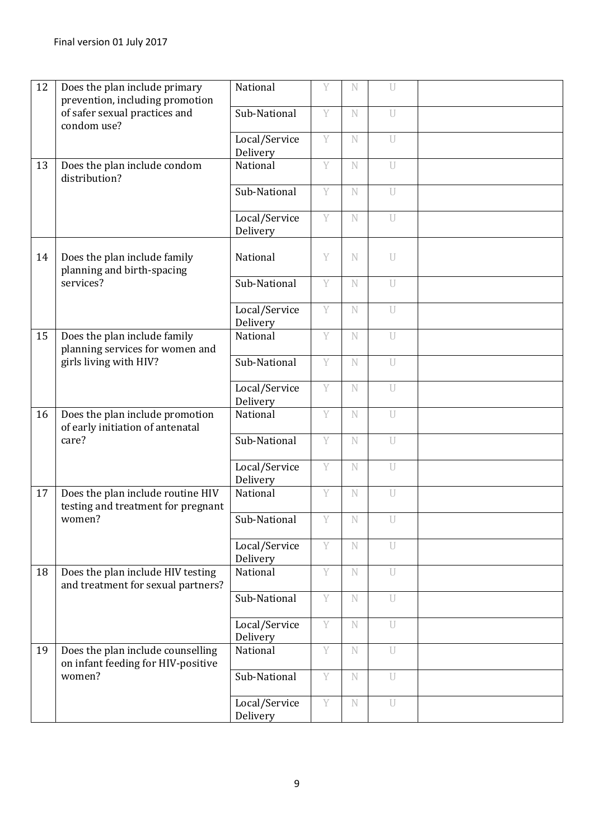| 12 | Does the plan include primary<br>prevention, including promotion        | National                  | Y | N           | U              |  |
|----|-------------------------------------------------------------------------|---------------------------|---|-------------|----------------|--|
|    | of safer sexual practices and<br>condom use?                            | Sub-National              | Y | N           | U              |  |
|    |                                                                         | Local/Service<br>Delivery | Y | N           | $\mathbf U$    |  |
| 13 | Does the plan include condom<br>distribution?                           | National                  | Y | N           | U              |  |
|    |                                                                         | Sub-National              | Y | N           | U              |  |
|    |                                                                         | Local/Service<br>Delivery | Y | $\mathbb N$ | U              |  |
| 14 | Does the plan include family<br>planning and birth-spacing              | National                  | Y | N           | U              |  |
|    | services?                                                               | Sub-National              | Y | N           | U              |  |
|    |                                                                         | Local/Service<br>Delivery | Y | N           | U              |  |
| 15 | Does the plan include family<br>planning services for women and         | National                  | Y | N           | U              |  |
|    | girls living with HIV?                                                  | Sub-National              | Y | $\mathbf N$ | U              |  |
|    |                                                                         | Local/Service<br>Delivery | Y | $\mathbb N$ | U              |  |
| 16 | Does the plan include promotion<br>of early initiation of antenatal     | National                  | Y | N           | U              |  |
|    | care?                                                                   | Sub-National              | Y | N           | $\overline{U}$ |  |
|    |                                                                         | Local/Service<br>Delivery | Y | N           | U              |  |
| 17 | Does the plan include routine HIV<br>testing and treatment for pregnant | National                  | Y | N           | $\cup$         |  |
|    | women?                                                                  | Sub-National              | Y | N           | U              |  |
|    |                                                                         | Local/Service<br>Delivery | Y | N           | U              |  |
| 18 | Does the plan include HIV testing<br>and treatment for sexual partners? | National                  | Y | $\mathbb N$ | U              |  |
|    |                                                                         | Sub-National              | Y | $\mathbf N$ | $\overline{U}$ |  |
|    |                                                                         | Local/Service<br>Delivery | Y | N           | U              |  |
| 19 | Does the plan include counselling<br>on infant feeding for HIV-positive | National                  | Y | N           | U              |  |
|    | women?                                                                  | Sub-National              | Y | N           | U              |  |
|    |                                                                         | Local/Service<br>Delivery | Y | $\mathbb N$ | U              |  |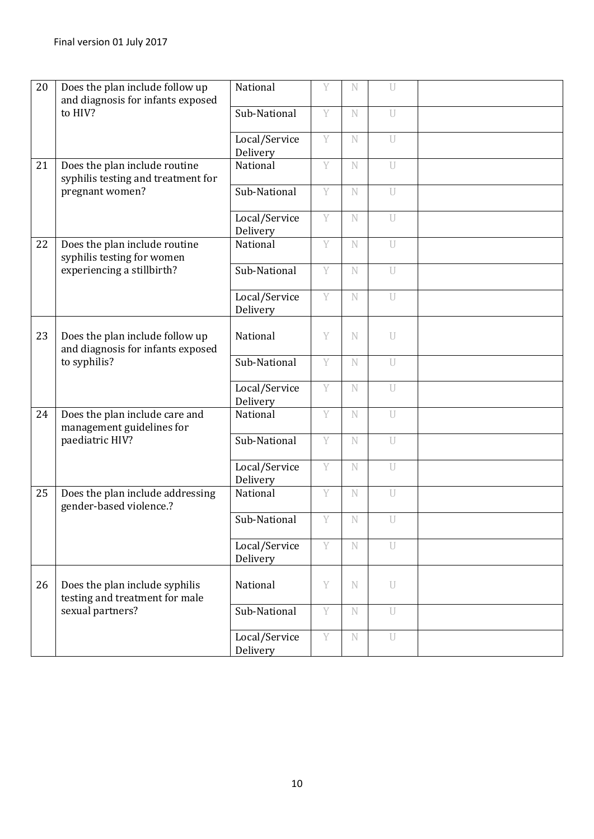| 20 | Does the plan include follow up<br>and diagnosis for infants exposed | National                  | Y | N           | U              |  |
|----|----------------------------------------------------------------------|---------------------------|---|-------------|----------------|--|
|    | to HIV?                                                              | Sub-National              | Y | N           | U              |  |
|    |                                                                      | Local/Service<br>Delivery | Y | N           | U              |  |
| 21 | Does the plan include routine<br>syphilis testing and treatment for  | National                  | Y | N           | U              |  |
|    | pregnant women?                                                      | Sub-National              | Y | N           | $\overline{U}$ |  |
|    |                                                                      | Local/Service<br>Delivery | Y | N           | U              |  |
| 22 | Does the plan include routine<br>syphilis testing for women          | National                  | Y | $\mathbb N$ | U              |  |
|    | experiencing a stillbirth?                                           | Sub-National              | Y | N           | U              |  |
|    |                                                                      | Local/Service<br>Delivery | Y | $\mathbf N$ | U              |  |
| 23 | Does the plan include follow up<br>and diagnosis for infants exposed | National                  | Y | N           | U              |  |
|    | to syphilis?                                                         | Sub-National              | Y | N           | U              |  |
|    |                                                                      | Local/Service<br>Delivery | Y | $\mathbb N$ | U              |  |
| 24 | Does the plan include care and<br>management guidelines for          | National                  | Y | N           | U              |  |
|    | paediatric HIV?                                                      | Sub-National              | Y | N           | $\overline{U}$ |  |
|    |                                                                      | Local/Service<br>Delivery | Ÿ | $\mathbf N$ | $\overline{U}$ |  |
| 25 | Does the plan include addressing<br>gender-based violence.?          | National                  | Y | $\mathbf N$ | $\mathbf U$    |  |
|    |                                                                      | Sub-National              | Y | $\mathbf N$ | U              |  |
|    |                                                                      | Local/Service<br>Delivery | Y | N           | $\overline{U}$ |  |
| 26 | Does the plan include syphilis<br>testing and treatment for male     | National                  | Y | N           | U              |  |
|    | sexual partners?                                                     | Sub-National              | Y | N           | U              |  |
|    |                                                                      | Local/Service<br>Delivery | Y | N           | U              |  |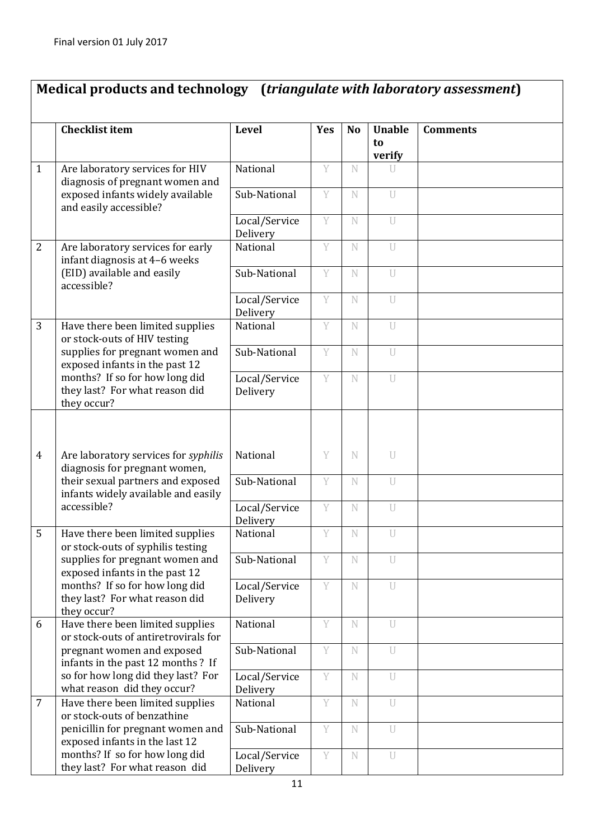### **Medical products and technology (***triangulate with laboratory assessment***)**

|                | <b>Checklist item</b>                                                           | <b>Level</b>              | <b>Yes</b> | <b>No</b>   | <b>Unable</b><br>to<br>verify | <b>Comments</b> |
|----------------|---------------------------------------------------------------------------------|---------------------------|------------|-------------|-------------------------------|-----------------|
| $\mathbf{1}$   | Are laboratory services for HIV<br>diagnosis of pregnant women and              | National                  | Y          | N           | U                             |                 |
|                | exposed infants widely available<br>and easily accessible?                      | Sub-National              | Y          | N           | U                             |                 |
|                |                                                                                 | Local/Service<br>Delivery | Y          | N           | U                             |                 |
| $\overline{2}$ | Are laboratory services for early<br>infant diagnosis at 4-6 weeks              | National                  | Y          | N           | $\overline{U}$                |                 |
|                | (EID) available and easily<br>accessible?                                       | Sub-National              | Y          | N           | $\overline{U}$                |                 |
|                |                                                                                 | Local/Service<br>Delivery | Y          | N           | U                             |                 |
| 3              | Have there been limited supplies<br>or stock-outs of HIV testing                | National                  | Y          | N           | U                             |                 |
|                | supplies for pregnant women and<br>exposed infants in the past 12               | Sub-National              | Y          | N           | U                             |                 |
|                | months? If so for how long did<br>they last? For what reason did<br>they occur? | Local/Service<br>Delivery | Y          | N           | $\mathbf{U}$                  |                 |
|                |                                                                                 |                           |            |             |                               |                 |
| $\overline{4}$ | Are laboratory services for syphilis<br>diagnosis for pregnant women,           | National                  | Y          | N           | U                             |                 |
|                | their sexual partners and exposed<br>infants widely available and easily        | Sub-National              | Y          | N           | U                             |                 |
|                | accessible?                                                                     | Local/Service<br>Delivery | Y          | N           | $\overline{U}$                |                 |
| 5              | Have there been limited supplies<br>or stock-outs of syphilis testing           | National                  | Y          | N           | $\overline{U}$                |                 |
|                | supplies for pregnant women and<br>exposed infants in the past 12               | Sub-National              | Y          | $\mathbb N$ | $\mathbf U$                   |                 |
|                | months? If so for how long did<br>they last? For what reason did<br>they occur? | Local/Service<br>Delivery | Y          | N           | U                             |                 |
| 6              | Have there been limited supplies<br>or stock-outs of antiretrovirals for        | National                  | Y          | N           | U                             |                 |
|                | pregnant women and exposed<br>infants in the past 12 months ? If                | Sub-National              | Y          | N           | U                             |                 |
|                | so for how long did they last? For<br>what reason did they occur?               | Local/Service<br>Delivery | Y          | N           | U                             |                 |
| $\overline{7}$ | Have there been limited supplies<br>or stock-outs of benzathine                 | National                  | Y          | N           | U                             |                 |
|                | penicillin for pregnant women and<br>exposed infants in the last 12             | Sub-National              | Y          | N           | U                             |                 |
|                | months? If so for how long did<br>they last? For what reason did                | Local/Service<br>Delivery | Y          | N           | $\overline{U}$                |                 |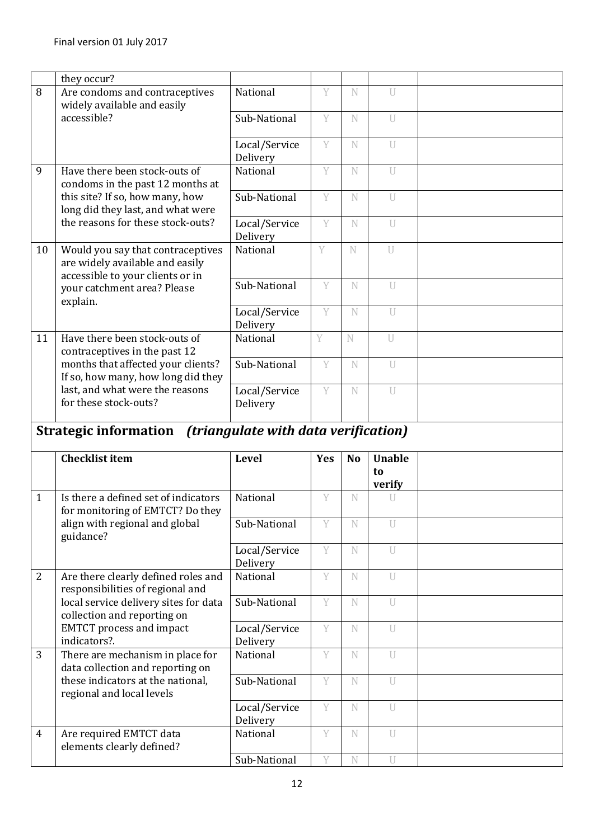|                | they occur?                                                                                              |                                             |            |           |                        |  |
|----------------|----------------------------------------------------------------------------------------------------------|---------------------------------------------|------------|-----------|------------------------|--|
| 8              | Are condoms and contraceptives<br>widely available and easily                                            | National                                    | Y          | N         | $\overline{U}$         |  |
|                | accessible?                                                                                              | Sub-National                                | Y          | N         | $\mathbf{U}$           |  |
|                |                                                                                                          | Local/Service<br>Delivery                   | Y          | N         | U                      |  |
| 9              | Have there been stock-outs of<br>condoms in the past 12 months at                                        | National                                    | Y          | N         | U                      |  |
|                | this site? If so, how many, how<br>long did they last, and what were                                     | Sub-National                                | Y          | N         | U                      |  |
|                | the reasons for these stock-outs?                                                                        | Local/Service<br>Delivery                   | Y          | N         | U                      |  |
| 10             | Would you say that contraceptives<br>are widely available and easily<br>accessible to your clients or in | National                                    | Y          | N         | $\overline{U}$         |  |
|                | your catchment area? Please<br>explain.                                                                  | Sub-National                                | Y          | N         | $\overline{U}$         |  |
|                |                                                                                                          | Local/Service<br>Delivery                   | Y          | N         | $\mathbf{U}$           |  |
| 11             | Have there been stock-outs of<br>contraceptives in the past 12                                           | National                                    | Y          | N         | U                      |  |
|                | months that affected your clients?<br>If so, how many, how long did they                                 | Sub-National                                | Y          | N         | U                      |  |
|                | last, and what were the reasons<br>for these stock-outs?                                                 | Local/Service<br>Delivery                   | Y          | N         | U                      |  |
|                |                                                                                                          |                                             |            |           |                        |  |
|                | <b>Strategic information</b>                                                                             | <i>(triangulate with data verification)</i> |            |           |                        |  |
|                | <b>Checklist item</b>                                                                                    | <b>Level</b>                                | <b>Yes</b> | <b>No</b> | <b>Unable</b><br>to    |  |
| $\mathbf{1}$   | Is there a defined set of indicators                                                                     | National                                    | Y          | N         | verify<br>$\mathbf{U}$ |  |
|                | for monitoring of EMTCT? Do they<br>align with regional and global                                       | Sub-National                                | Y          | N         | U                      |  |
|                | guidance?                                                                                                | Local/Service                               | Y          | N         | U                      |  |
| $\overline{2}$ | Are there clearly defined roles and<br>responsibilities of regional and                                  | Delivery<br>National                        | Y          | N         | U                      |  |
|                | local service delivery sites for data<br>collection and reporting on                                     | Sub-National                                | Y          | N         | U                      |  |
|                | <b>EMTCT</b> process and impact<br>indicators?.                                                          | Local/Service<br>Delivery                   | Y          | N         | U                      |  |
| 3              | There are mechanism in place for<br>data collection and reporting on                                     | National                                    | Y          | N         | U                      |  |
|                | these indicators at the national,<br>regional and local levels                                           | Sub-National                                | Y          | N         | U                      |  |
|                |                                                                                                          | Local/Service<br>Delivery                   | Y          | N         | U                      |  |
| $\overline{4}$ | Are required EMTCT data<br>elements clearly defined?                                                     | National                                    | Y<br>Y     | N         | U                      |  |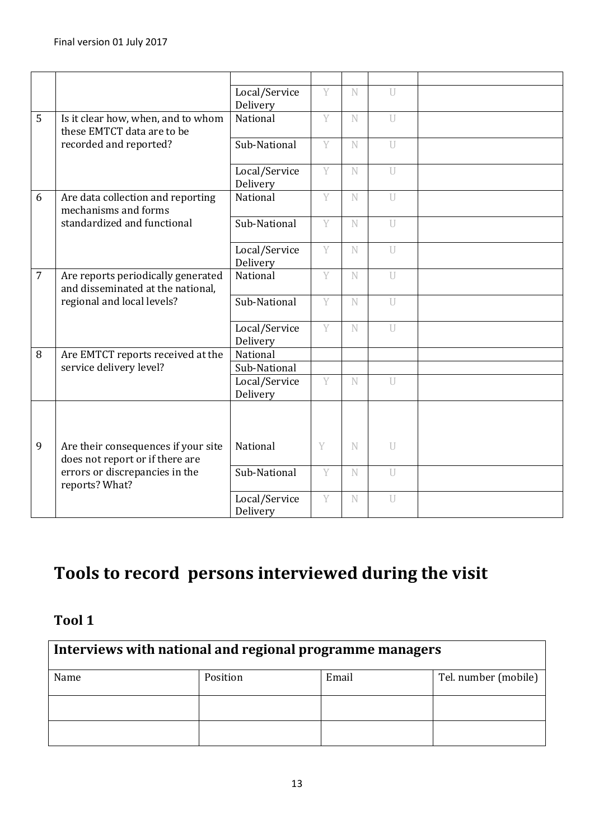|                |                                                                         | Local/Service<br>Delivery     | Y | N           | $\mathbb{I}$   |  |
|----------------|-------------------------------------------------------------------------|-------------------------------|---|-------------|----------------|--|
| 5              | Is it clear how, when, and to whom<br>these EMTCT data are to be        | National                      | Y | N           | $\overline{U}$ |  |
|                | recorded and reported?                                                  | Sub-National                  | Y | N           | U              |  |
|                |                                                                         | Local/Service<br>Delivery     | Y | N           | $\overline{U}$ |  |
| 6              | Are data collection and reporting<br>mechanisms and forms               | National                      | Y | N           | $\overline{1}$ |  |
|                | standardized and functional                                             | Sub-National                  | Y | N           | $\overline{U}$ |  |
|                |                                                                         | Local/Service<br>Delivery     | Ÿ | N           | U              |  |
| $\overline{7}$ | Are reports periodically generated<br>and disseminated at the national, | National                      | Y | N           | U              |  |
|                | regional and local levels?                                              | Sub-National                  | Y | N           | $\overline{U}$ |  |
|                |                                                                         | Local/Service<br>Delivery     | Y | N           | $\overline{U}$ |  |
| 8              | Are EMTCT reports received at the                                       | National                      |   |             |                |  |
|                | service delivery level?                                                 | Sub-National<br>Local/Service | Y | N           | U              |  |
|                |                                                                         | Delivery                      |   |             |                |  |
|                |                                                                         |                               |   |             |                |  |
| 9              | Are their consequences if your site<br>does not report or if there are  | National                      | Y | N           | U              |  |
|                | errors or discrepancies in the<br>reports? What?                        | Sub-National                  | Y | $\mathbf N$ | $\overline{U}$ |  |
|                |                                                                         | Local/Service<br>Delivery     | Y | N           | U              |  |

# **Tools to record persons interviewed during the visit**

#### **Tool 1**

| Interviews with national and regional programme managers |                                           |  |  |  |  |  |  |  |
|----------------------------------------------------------|-------------------------------------------|--|--|--|--|--|--|--|
| Name                                                     | Tel. number (mobile)<br>Email<br>Position |  |  |  |  |  |  |  |
|                                                          |                                           |  |  |  |  |  |  |  |
|                                                          |                                           |  |  |  |  |  |  |  |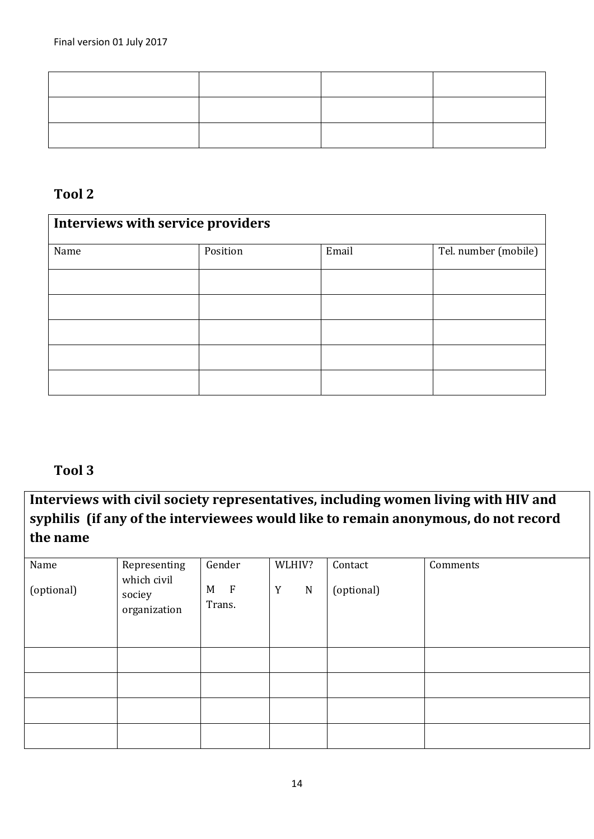#### **Tool 2**

| <b>Interviews with service providers</b> |          |       |                      |  |  |  |  |
|------------------------------------------|----------|-------|----------------------|--|--|--|--|
| Name                                     | Position | Email | Tel. number (mobile) |  |  |  |  |
|                                          |          |       |                      |  |  |  |  |
|                                          |          |       |                      |  |  |  |  |
|                                          |          |       |                      |  |  |  |  |
|                                          |          |       |                      |  |  |  |  |
|                                          |          |       |                      |  |  |  |  |

#### **Tool 3**

**Interviews with civil society representatives, including women living with HIV and syphilis (if any of the interviewees would like to remain anonymous, do not record the name**

| Name       | Representing                          | Gender                      | WLHIV?           | Contact    | Comments |
|------------|---------------------------------------|-----------------------------|------------------|------------|----------|
| (optional) | which civil<br>sociey<br>organization | $\mathbf{F}$<br>M<br>Trans. | Y<br>$\mathbf N$ | (optional) |          |
|            |                                       |                             |                  |            |          |
|            |                                       |                             |                  |            |          |
|            |                                       |                             |                  |            |          |
|            |                                       |                             |                  |            |          |
|            |                                       |                             |                  |            |          |